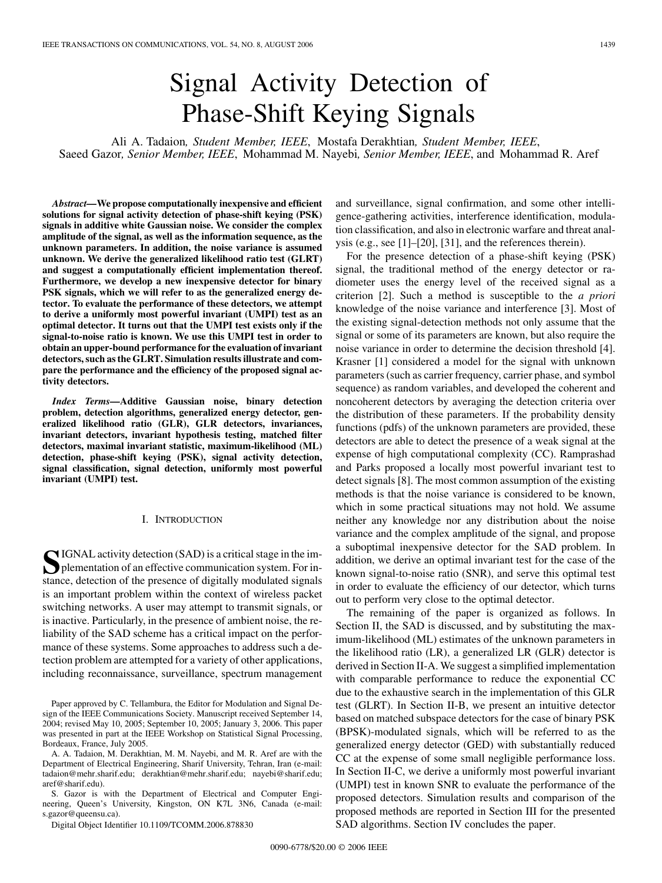# Signal Activity Detection of Phase-Shift Keying Signals

Ali A. Tadaion*, Student Member, IEEE*, Mostafa Derakhtian*, Student Member, IEEE*, Saeed Gazor*, Senior Member, IEEE*, Mohammad M. Nayebi*, Senior Member, IEEE*, and Mohammad R. Aref

*Abstract—***We propose computationally inexpensive and efficient solutions for signal activity detection of phase-shift keying (PSK) signals in additive white Gaussian noise. We consider the complex amplitude of the signal, as well as the information sequence, as the unknown parameters. In addition, the noise variance is assumed unknown. We derive the generalized likelihood ratio test (GLRT) and suggest a computationally efficient implementation thereof. Furthermore, we develop a new inexpensive detector for binary PSK signals, which we will refer to as the generalized energy detector. To evaluate the performance of these detectors, we attempt to derive a uniformly most powerful invariant (UMPI) test as an optimal detector. It turns out that the UMPI test exists only if the signal-to-noise ratio is known. We use this UMPI test in order to obtain an upper-bound performance for the evaluation of invariant detectors, such as the GLRT. Simulation results illustrate and compare the performance and the efficiency of the proposed signal activity detectors.**

*Index Terms—***Additive Gaussian noise, binary detection problem, detection algorithms, generalized energy detector, generalized likelihood ratio (GLR), GLR detectors, invariances, invariant detectors, invariant hypothesis testing, matched filter detectors, maximal invariant statistic, maximum-likelihood (ML) detection, phase-shift keying (PSK), signal activity detection, signal classification, signal detection, uniformly most powerful invariant (UMPI) test.**

#### I. INTRODUCTION

SIGNAL activity detection (SAD) is a critical stage in the im-<br>
plementation of an effective communication system. For in-<br>
stance, datastion of the presence of digitally modulated signals stance, detection of the presence of digitally modulated signals is an important problem within the context of wireless packet switching networks. A user may attempt to transmit signals, or is inactive. Particularly, in the presence of ambient noise, the reliability of the SAD scheme has a critical impact on the performance of these systems. Some approaches to address such a detection problem are attempted for a variety of other applications, including reconnaissance, surveillance, spectrum management

Paper approved by C. Tellambura, the Editor for Modulation and Signal Design of the IEEE Communications Society. Manuscript received September 14, 2004; revised May 10, 2005; September 10, 2005; January 3, 2006. This paper was presented in part at the IEEE Workshop on Statistical Signal Processing, Bordeaux, France, July 2005.

A. A. Tadaion, M. Derakhtian, M. M. Nayebi, and M. R. Aref are with the Department of Electrical Engineering, Sharif University, Tehran, Iran (e-mail: tadaion@mehr.sharif.edu; derakhtian@mehr.sharif.edu; nayebi@sharif.edu; aref@sharif.edu).

S. Gazor is with the Department of Electrical and Computer Engineering, Queen's University, Kingston, ON K7L 3N6, Canada (e-mail: s.gazor@queensu.ca).

Digital Object Identifier 10.1109/TCOMM.2006.878830

and surveillance, signal confirmation, and some other intelligence-gathering activities, interference identification, modulation classification, and also in electronic warfare and threat analysis (e.g., see [\[1\]](#page-5-0)[–\[20\]](#page-6-0), [\[31\]](#page-6-0), and the references therein).

For the presence detection of a phase-shift keying (PSK) signal, the traditional method of the energy detector or radiometer uses the energy level of the received signal as a criterion [\[2\].](#page-5-0) Such a method is susceptible to the *a priori* knowledge of the noise variance and interference [\[3\].](#page-6-0) Most of the existing signal-detection methods not only assume that the signal or some of its parameters are known, but also require the noise variance in order to determine the decision threshold [\[4\].](#page-6-0) Krasner [\[1\]](#page-5-0) considered a model for the signal with unknown parameters (such as carrier frequency, carrier phase, and symbol sequence) as random variables, and developed the coherent and noncoherent detectors by averaging the detection criteria over the distribution of these parameters. If the probability density functions (pdfs) of the unknown parameters are provided, these detectors are able to detect the presence of a weak signal at the expense of high computational complexity (CC). Ramprashad and Parks proposed a locally most powerful invariant test to detect signals [\[8\]](#page-6-0). The most common assumption of the existing methods is that the noise variance is considered to be known, which in some practical situations may not hold. We assume neither any knowledge nor any distribution about the noise variance and the complex amplitude of the signal, and propose a suboptimal inexpensive detector for the SAD problem. In addition, we derive an optimal invariant test for the case of the known signal-to-noise ratio (SNR), and serve this optimal test in order to evaluate the efficiency of our detector, which turns out to perform very close to the optimal detector.

The remaining of the paper is organized as follows. In [Section II,](#page-1-0) the SAD is discussed, and by substituting the maximum-likelihood (ML) estimates of the unknown parameters in the likelihood ratio (LR), a generalized LR (GLR) detector is derived in [Section II-A.](#page-1-0) We suggest a simplified implementation with comparable performance to reduce the exponential CC due to the exhaustive search in the implementation of this GLR test (GLRT). In [Section II-B,](#page-1-0) we present an intuitive detector based on matched subspace detectors for the case of binary PSK (BPSK)-modulated signals, which will be referred to as the generalized energy detector (GED) with substantially reduced CC at the expense of some small negligible performance loss. In [Section II-C](#page-2-0), we derive a uniformly most powerful invariant (UMPI) test in known SNR to evaluate the performance of the proposed detectors. Simulation results and comparison of the proposed methods are reported in [Section III](#page-2-0) for the presented SAD algorithms. [Section IV](#page-3-0) concludes the paper.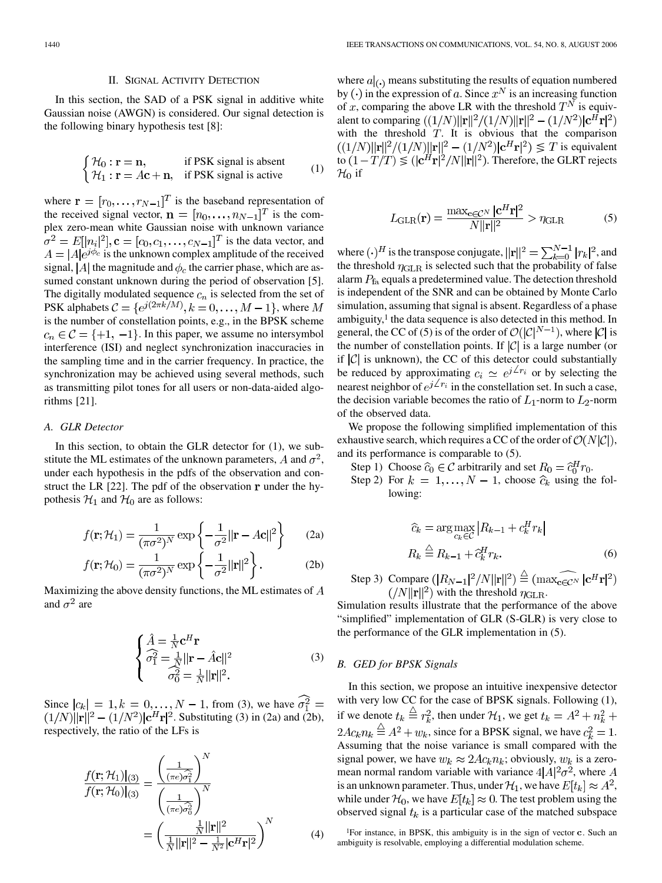#### II. SIGNAL ACTIVITY DETECTION

<span id="page-1-0"></span>In this section, the SAD of a PSK signal in additive white Gaussian noise (AWGN) is considered. Our signal detection is the following binary hypothesis test [\[8\]](#page-6-0):

$$
\begin{cases}\n\mathcal{H}_0: \mathbf{r} = \mathbf{n}, & \text{if PSK signal is absent} \\
\mathcal{H}_1: \mathbf{r} = A\mathbf{c} + \mathbf{n}, & \text{if PSK signal is active}\n\end{cases}
$$
\n(1)

where  $\mathbf{r} = [r_0, \dots, r_{N-1}]^T$  is the baseband representation of the received signal vector,  $\mathbf{n} = [n_0, \dots, n_{N-1}]^T$  is the complex zero-mean white Gaussian noise with unknown variance  $\sigma^2 = E[|n_i|^2], \mathbf{c} = [c_0, c_1, \dots, c_{N-1}]^T$  is the data vector, and  $A = |A|e^{j\phi_c}$  is the unknown complex amplitude of the received signal,  $|A|$  the magnitude and  $\phi_c$  the carrier phase, which are assumed constant unknown during the period of observation [\[5\]](#page-6-0). The digitally modulated sequence  $c_n$  is selected from the set of PSK alphabets  $C = \{e^{j(2\pi k/M)}, k = 0, \dots, M-1\}$ , where M is the number of constellation points, e.g., in the BPSK scheme  $c_n \in \mathcal{C} = \{+1, -1\}$ . In this paper, we assume no intersymbol interference (ISI) and neglect synchronization inaccuracies in the sampling time and in the carrier frequency. In practice, the synchronization may be achieved using several methods, such as transmitting pilot tones for all users or non-data-aided algorithms [\[21\].](#page-6-0)

## *A. GLR Detector*

In this section, to obtain the GLR detector for  $(1)$ , we substitute the ML estimates of the unknown parameters, A and  $\sigma^2$ , under each hypothesis in the pdfs of the observation and construct the LR  $[22]$ . The pdf of the observation  $\bf{r}$  under the hypothesis  $\mathcal{H}_1$  and  $\mathcal{H}_0$  are as follows:

$$
f(\mathbf{r}; \mathcal{H}_1) = \frac{1}{(\pi \sigma^2)^N} \exp\left\{-\frac{1}{\sigma^2} ||\mathbf{r} - A\mathbf{c}||^2\right\}
$$
 (2a)

$$
f(\mathbf{r}; \mathcal{H}_0) = \frac{1}{(\pi \sigma^2)^N} \exp\left\{-\frac{1}{\sigma^2} ||\mathbf{r}||^2\right\}.
$$
 (2b)

Maximizing the above density functions, the ML estimates of  $A$ and  $\sigma^2$  are

$$
\begin{cases}\n\hat{A} = \frac{1}{N} \mathbf{c}^H \mathbf{r} \\
\widehat{\sigma}_1^2 = \frac{1}{N} ||\mathbf{r} - \hat{A}\mathbf{c}||^2 \\
\widehat{\sigma}_0^2 = \frac{1}{N} ||\mathbf{r}||^2.\n\end{cases} \tag{3}
$$

Since  $|c_k| = 1, k = 0, \ldots, N-1$ , from (3), we have  $\widehat{\sigma_1^2}$  =  $(1/N)||\mathbf{r}||^2 - (1/N^2)|\mathbf{c}^H\mathbf{r}|^2$ . Substituting (3) in (2a) and (2b), respectively, the ratio of the LFs is

$$
\frac{f(\mathbf{r}; \mathcal{H}_1)|_{(3)}}{f(\mathbf{r}; \mathcal{H}_0)|_{(3)}} = \frac{\left(\frac{1}{(\pi e)\widehat{\sigma}_1^2}\right)^N}{\left(\frac{1}{(\pi e)\widehat{\sigma}_0^2}\right)^N}
$$
\n
$$
= \left(\frac{\frac{1}{N}||\mathbf{r}||^2}{\frac{1}{N}||\mathbf{r}||^2 - \frac{1}{N^2}|\mathbf{c}^H \mathbf{r}|^2}\right)^N \tag{4}
$$

where  $a|_{\text{C}}$  means substituting the results of equation numbered by  $\cdot$ ) in the expression of a. Since  $x^N$  is an increasing function of x, comparing the above LR with the threshold  $T^N$  is equivalent to comparing  $((1/N)||\mathbf{r}||^2/(1/N)||\mathbf{r}||^2 - (1/N^2)|\mathbf{c}^H\mathbf{r}|^2)$ with the threshold  $T$ . It is obvious that the comparison  $((1/N)||\mathbf{r}||^2/(1/N)||\mathbf{r}||^2 - (1/N^2)|\mathbf{c}^H\mathbf{r}|^2) \leq T$  is equivalent to  $(1 - T/T) \leq (|\mathbf{c}^H \mathbf{r}|^2/N ||\mathbf{r}||^2)$ . Therefore, the GLRT rejects  $\mathcal{H}_0$  if

$$
L_{\text{GLR}}(\mathbf{r}) = \frac{\max_{\mathbf{c} \in \mathcal{C}^N} |\mathbf{c}^H \mathbf{r}|^2}{N ||\mathbf{r}||^2} > \eta_{\text{GLR}} \tag{5}
$$

where  $(\cdot)^H$  is the transpose conjugate,  $||\mathbf{r}||^2 = \sum_{k=0}^{N-1} |r_k|^2$ , and the threshold  $\eta_{GLR}$  is selected such that the probability of false alarm  $P_{\text{fa}}$  equals a predetermined value. The detection threshold is independent of the SNR and can be obtained by Monte Carlo simulation, assuming that signal is absent. Regardless of a phase ambiguity, $<sup>1</sup>$  the data sequence is also detected in this method. In</sup> general, the CC of (5) is of the order of  $\mathcal{O}(|\mathcal{C}|^{N-1})$ , where  $|\mathcal{C}|$  is the number of constellation points. If  $|C|$  is a large number (or if  $|C|$  is unknown), the CC of this detector could substantially be reduced by approximating  $c_i \simeq e^{j\angle r_i}$  or by selecting the nearest neighbor of  $e^{j\angle r_i}$  in the constellation set. In such a case, the decision variable becomes the ratio of  $L_1$ -norm to  $L_2$ -norm of the observed data.

We propose the following simplified implementation of this exhaustive search, which requires a CC of the order of  $\mathcal{O}(N|\mathcal{C}|)$ , and its performance is comparable to (5).

- Step 1) Choose  $\hat{c}_0 \in \mathcal{C}$  arbitrarily and set  $R_0 = \hat{c}_0^H r_0$ .
- Step 2) For  $k = 1, ..., N 1$ , choose  $\hat{c}_k$  using the following:

$$
\hat{c}_k = \arg \max_{c_k \in \mathcal{C}} \left| R_{k-1} + c_k^H r_k \right|
$$

$$
R_k \stackrel{\triangle}{=} R_{k-1} + \hat{c}_k^H r_k.
$$
(6)

Step 3) Compare  $(|R_{N-1}|^2/N||\mathbf{r}||^2) \triangleq (\max_{\mathbf{c} \in \mathcal{C}^N} |\mathbf{c}^H \mathbf{r}|^2)$  $\left(\frac{N}{\|r\|^2}\right)$  with the threshold  $\eta_{GLR}$ .

Simulation results illustrate that the performance of the above "simplified" implementation of GLR (S-GLR) is very close to the performance of the GLR implementation in (5).

## *B. GED for BPSK Signals*

In this section, we propose an intuitive inexpensive detector with very low CC for the case of BPSK signals. Following  $(1)$ , if we denote  $t_k \stackrel{\triangle}{=} r_k^2$ , then under  $\mathcal{H}_1$ , we get  $t_k = A^2 + n_k^2 + \cdots$  $2Ac_k n_k \stackrel{\triangle}{=} A^2 + w_k$ , since for a BPSK signal, we have  $c_k^2 = 1$ . Assuming that the noise variance is small compared with the signal power, we have  $w_k \approx 2A c_k n_k$ ; obviously,  $w_k$  is a zeromean normal random variable with variance  $4|A|^2\sigma^2$ , where A is an unknown parameter. Thus, under  $\mathcal{H}_1$ , we have  $E[t_k] \approx A^2$ , while under  $\mathcal{H}_0$ , we have  $E[t_k] \approx 0$ . The test problem using the observed signal  $t_k$  is a particular case of the matched subspace

<sup>&</sup>lt;sup>1</sup>For instance, in BPSK, this ambiguity is in the sign of vector c. Such an ambiguity is resolvable, employing a differential modulation scheme.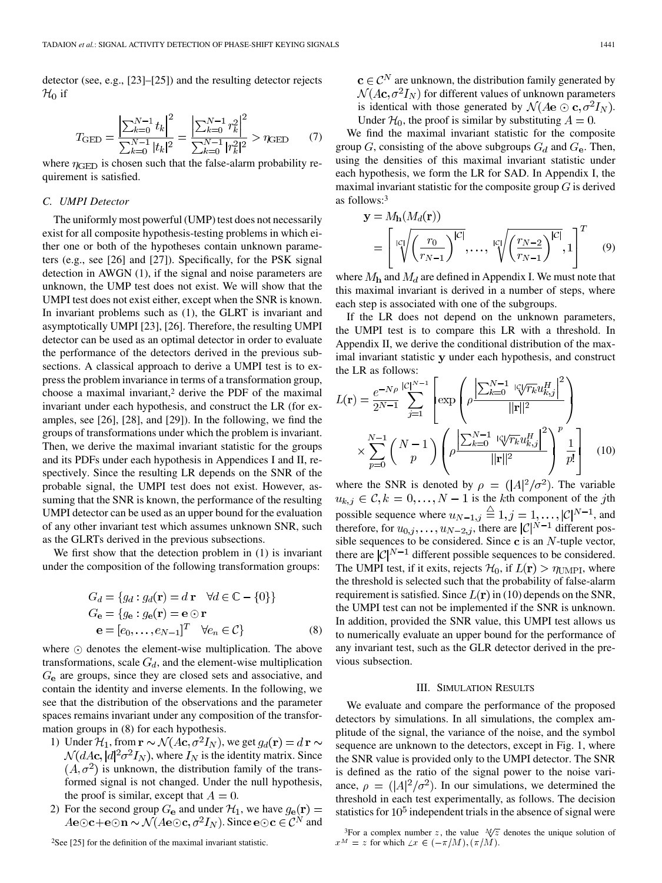<span id="page-2-0"></span>detector (see, e.g., [\[23\]–\[25\]](#page-6-0)) and the resulting detector rejects  $\mathcal{H}_0$  if

$$
T_{\rm GED} = \frac{\left|\sum_{k=0}^{N-1} t_k\right|^2}{\sum_{k=0}^{N-1} |t_k|^2} = \frac{\left|\sum_{k=0}^{N-1} r_k^2\right|^2}{\sum_{k=0}^{N-1} |r_k^2|^2} > \eta_{\rm GED} \tag{7}
$$

where  $\eta_{\text{GED}}$  is chosen such that the false-alarm probability requirement is satisfied.

## *C. UMPI Detector*

The uniformly most powerful (UMP) test does not necessarily exist for all composite hypothesis-testing problems in which either one or both of the hypotheses contain unknown parameters (e.g., see [\[26\]](#page-6-0) and [\[27\]\)](#page-6-0). Specifically, for the PSK signal detection in AWGN [\(1\),](#page-1-0) if the signal and noise parameters are unknown, the UMP test does not exist. We will show that the UMPI test does not exist either, except when the SNR is known. In invariant problems such as [\(1\),](#page-1-0) the GLRT is invariant and asymptotically UMPI [\[23\], \[26\]](#page-6-0). Therefore, the resulting UMPI detector can be used as an optimal detector in order to evaluate the performance of the detectors derived in the previous subsections. A classical approach to derive a UMPI test is to express the problem invariance in terms of a transformation group, choose a maximal invariant, $2$  derive the PDF of the maximal invariant under each hypothesis, and construct the LR (for examples, see [\[26\], \[28\],](#page-6-0) and [\[29\]](#page-6-0)). In the following, we find the groups of transformations under which the problem is invariant. Then, we derive the maximal invariant statistic for the groups and its PDFs under each hypothesis in [Appendices I](#page-4-0) and [II,](#page-5-0) respectively. Since the resulting LR depends on the SNR of the probable signal, the UMPI test does not exist. However, assuming that the SNR is known, the performance of the resulting UMPI detector can be used as an upper bound for the evaluation of any other invariant test which assumes unknown SNR, such as the GLRTs derived in the previous subsections.

We first show that the detection problem in [\(1\)](#page-1-0) is invariant under the composition of the following transformation groups:

$$
G_d = \{g_d : g_d(\mathbf{r}) = d\mathbf{r} \quad \forall d \in \mathbb{C} - \{0\}\}
$$
  
\n
$$
G_e = \{g_e : g_e(\mathbf{r}) = e \odot \mathbf{r}
$$
  
\n
$$
e = [e_0, \dots, e_{N-1}]^T \quad \forall e_n \in \mathcal{C}\}
$$
 (8)

where  $\odot$  denotes the element-wise multiplication. The above transformations, scale  $G_d$ , and the element-wise multiplication  $G_{\rm e}$  are groups, since they are closed sets and associative, and contain the identity and inverse elements. In the following, we see that the distribution of the observations and the parameter spaces remains invariant under any composition of the transformation groups in (8) for each hypothesis.

- 1) Under  $\mathcal{H}_1$ , from  $\mathbf{r} \sim \mathcal{N}(A\mathbf{c}, \sigma^2 I_N)$ , we get  $g_d(\mathbf{r}) = d\mathbf{r} \sim$  $\mathcal{N}(dA\mathbf{c}, |d|^2\sigma^2I_N)$ , where  $I_N$  is the identity matrix. Since  $(A, \sigma^2)$  is unknown, the distribution family of the transformed signal is not changed. Under the null hypothesis, the proof is similar, except that  $A = 0$ .
- 2) For the second group  $G_e$  and under  $\mathcal{H}_1$ , we have  $g_e(\mathbf{r}) =$  $Ae\odot c + e\odot n \sim \mathcal{N}(Ae\odot c, \sigma^2 I_N)$ . Since  $e\odot c \in \mathcal{C}^N$  and

2See [\[25\]](#page-6-0) for the definition of the maximal invariant statistic.

 $\mathbf{c} \in \mathcal{C}^N$  are unknown, the distribution family generated by  $\mathcal{N}(A_{\mathbf{C}}, \sigma^2 I_N)$  for different values of unknown parameters is identical with those generated by  $\mathcal{N}(Ae \odot c, \sigma^2 I_N)$ . Under  $\mathcal{H}_0$ , the proof is similar by substituting  $A = 0$ .

We find the maximal invariant statistic for the composite group  $G$ , consisting of the above subgroups  $G_d$  and  $G_e$ . Then, using the densities of this maximal invariant statistic under each hypothesis, we form the LR for SAD. In [Appendix I,](#page-4-0) the maximal invariant statistic for the composite group  $G$  is derived as follows:3

$$
\mathbf{y} = M_{\mathbf{h}}(M_d(\mathbf{r}))
$$
  
= 
$$
\left[ \sqrt{\left(\frac{r_0}{r_{N-1}}\right)^{|\mathcal{C}|}}, \dots, \sqrt{\left(\frac{r_{N-2}}{r_{N-1}}\right)^{|\mathcal{C}|}}, 1 \right]^T
$$
 (9)

where  $M<sub>h</sub>$  and  $M<sub>d</sub>$  are defined in [Appendix I](#page-4-0). We must note that this maximal invariant is derived in a number of steps, where each step is associated with one of the subgroups.

If the LR does not depend on the unknown parameters, the UMPI test is to compare this LR with a threshold. In [Appendix II,](#page-5-0) we derive the conditional distribution of the maximal invariant statistic y under each hypothesis, and construct the LR as follows:

$$
L(\mathbf{r}) = \frac{e^{-N\rho}}{2^{N-1}} \sum_{j=1}^{|\mathcal{C}|^{N-1}} \left[ \exp\left(\rho \frac{\left|\sum_{k=0}^{N-1} |\mathcal{C}/T_k u_{k,j}^H|^{2}}{||\mathbf{r}||^{2}}\right)\right|}{\|\mathbf{r}\|^2} \right]
$$

$$
\times \sum_{p=0}^{N-1} {N-1 \choose p} \left(\rho \frac{\left|\sum_{k=0}^{N-1} |\mathcal{C}/T_k u_{k,j}^H|^{2}}{||\mathbf{r}||^{2}}\right|^{2} \right)^{p} \frac{1}{p!}} \right]
$$
(10)

where the SNR is denoted by  $\rho = (|A|^2/\sigma^2)$ . The variable  $u_{k,j} \in \mathcal{C}, k = 0, \ldots, N-1$  is the kth component of the jth possible sequence where  $u_{N-1,j} \stackrel{\triangle}{=} 1, j = 1, \ldots, |\mathcal{C}|^{N-1}$ , and therefore, for  $u_{0,i}, \ldots, u_{N-2,i}$ , there are  $|C|^{N-1}$  different possible sequences to be considered. Since  $c$  is an  $N$ -tuple vector, there are  $|C|^{N-1}$  different possible sequences to be considered. The UMPI test, if it exits, rejects  $\mathcal{H}_0$ , if  $L(\mathbf{r}) > \eta_{\text{UMPI}}$ , where the threshold is selected such that the probability of false-alarm requirement is satisfied. Since  $L(\mathbf{r})$  in (10) depends on the SNR, the UMPI test can not be implemented if the SNR is unknown. In addition, provided the SNR value, this UMPI test allows us to numerically evaluate an upper bound for the performance of any invariant test, such as the GLR detector derived in the previous subsection.

#### III. SIMULATION RESULTS

We evaluate and compare the performance of the proposed detectors by simulations. In all simulations, the complex amplitude of the signal, the variance of the noise, and the symbol sequence are unknown to the detectors, except in [Fig. 1,](#page-3-0) where the SNR value is provided only to the UMPI detector. The SNR is defined as the ratio of the signal power to the noise variance,  $\rho = (|A|^2/\sigma^2)$ . In our simulations, we determined the threshold in each test experimentally, as follows. The decision statistics for  $10<sup>5</sup>$  independent trials in the absence of signal were

<sup>&</sup>lt;sup>3</sup>For a complex number z, the value  $\sqrt[M]{z}$  denotes the unique solution of  $x^M\,=\,z$  for which  $\angle x\,\in\,(-\pi/M), (\pi/M).$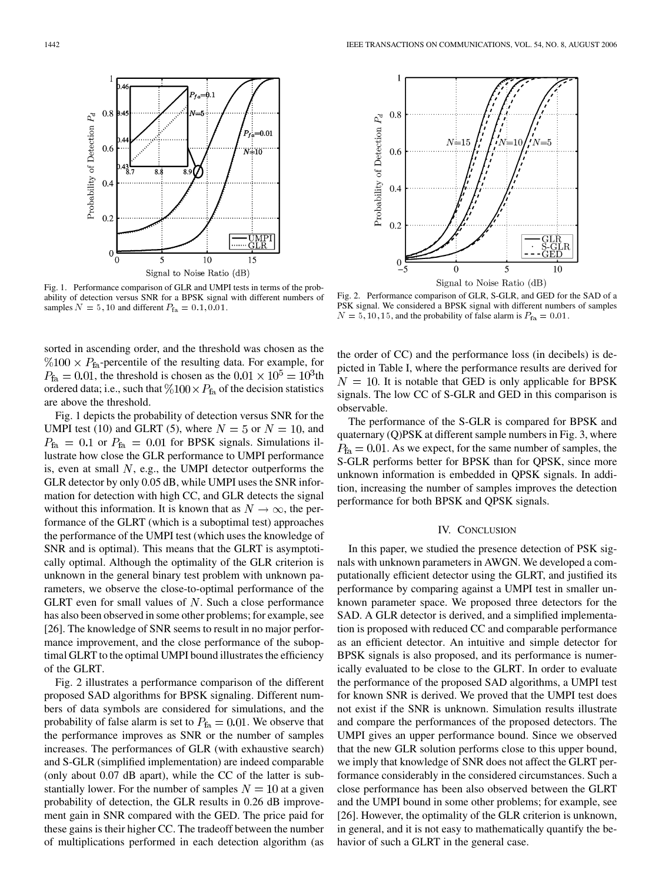Fig. 1. Performance comparison of GLR and UMPI tests in terms of the probability of detection versus SNR for a BPSK signal with different numbers of samples  $N = 5$ , 10 and different  $P_{\text{fa}} = 0.1, 0.01$ .

10

Signal to Noise Ratio (dB)

 $2e = 0.1$ 

 $P_t = 0.01$ 

v≟in '

15

V—5

8.9

sorted in ascending order, and the threshold was chosen as the  $\%100 \times P_{\text{fa}}$ -percentile of the resulting data. For example, for  $P_{\text{fa}} = 0.01$ , the threshold is chosen as the  $0.01 \times 10^5 = 10^3$ th ordered data; i.e., such that  $\%100 \times P_{fa}$  of the decision statistics are above the threshold.

Fig. 1 depicts the probability of detection versus SNR for the UMPI test [\(10\)](#page-2-0) and GLRT [\(5\),](#page-1-0) where  $N = 5$  or  $N = 10$ , and  $P_{\text{fa}} = 0.1$  or  $P_{\text{fa}} = 0.01$  for BPSK signals. Simulations illustrate how close the GLR performance to UMPI performance is, even at small  $N$ , e.g., the UMPI detector outperforms the GLR detector by only 0.05 dB, while UMPI uses the SNR information for detection with high CC, and GLR detects the signal without this information. It is known that as  $N \to \infty$ , the performance of the GLRT (which is a suboptimal test) approaches the performance of the UMPI test (which uses the knowledge of SNR and is optimal). This means that the GLRT is asymptotically optimal. Although the optimality of the GLR criterion is unknown in the general binary test problem with unknown parameters, we observe the close-to-optimal performance of the GLRT even for small values of  $N$ . Such a close performance has also been observed in some other problems; for example, see [\[26\]](#page-6-0). The knowledge of SNR seems to result in no major performance improvement, and the close performance of the suboptimal GLRT to the optimal UMPI bound illustrates the efficiency of the GLRT.

Fig. 2 illustrates a performance comparison of the different proposed SAD algorithms for BPSK signaling. Different numbers of data symbols are considered for simulations, and the probability of false alarm is set to  $P_{\text{fa}} = 0.01$ . We observe that the performance improves as SNR or the number of samples increases. The performances of GLR (with exhaustive search) and S-GLR (simplified implementation) are indeed comparable (only about 0.07 dB apart), while the CC of the latter is substantially lower. For the number of samples  $N = 10$  at a given probability of detection, the GLR results in 0.26 dB improvement gain in SNR compared with the GED. The price paid for these gains is their higher CC. The tradeoff between the number of multiplications performed in each detection algorithm (as



the order of CC) and the performance loss (in decibels) is depicted in [Table I](#page-4-0), where the performance results are derived for  $N = 10$ . It is notable that GED is only applicable for BPSK signals. The low CC of S-GLR and GED in this comparison is observable.

The performance of the S-GLR is compared for BPSK and quaternary (Q)PSK at different sample numbers in [Fig. 3,](#page-4-0) where  $P_{\text{fa}} = 0.01$ . As we expect, for the same number of samples, the S-GLR performs better for BPSK than for QPSK, since more unknown information is embedded in QPSK signals. In addition, increasing the number of samples improves the detection performance for both BPSK and QPSK signals.

### IV. CONCLUSION

In this paper, we studied the presence detection of PSK signals with unknown parameters in AWGN. We developed a computationally efficient detector using the GLRT, and justified its performance by comparing against a UMPI test in smaller unknown parameter space. We proposed three detectors for the SAD. A GLR detector is derived, and a simplified implementation is proposed with reduced CC and comparable performance as an efficient detector. An intuitive and simple detector for BPSK signals is also proposed, and its performance is numerically evaluated to be close to the GLRT. In order to evaluate the performance of the proposed SAD algorithms, a UMPI test for known SNR is derived. We proved that the UMPI test does not exist if the SNR is unknown. Simulation results illustrate and compare the performances of the proposed detectors. The UMPI gives an upper performance bound. Since we observed that the new GLR solution performs close to this upper bound, we imply that knowledge of SNR does not affect the GLRT performance considerably in the considered circumstances. Such a close performance has been also observed between the GLRT and the UMPI bound in some other problems; for example, see [\[26\]](#page-6-0). However, the optimality of the GLR criterion is unknown, in general, and it is not easy to mathematically quantify the behavior of such a GLRT in the general case.



 $0.8$ 

 $0.6$ 

 $\boldsymbol{0}$  $\overline{0}$ 

<span id="page-3-0"></span>Probability of Detection  $P_d$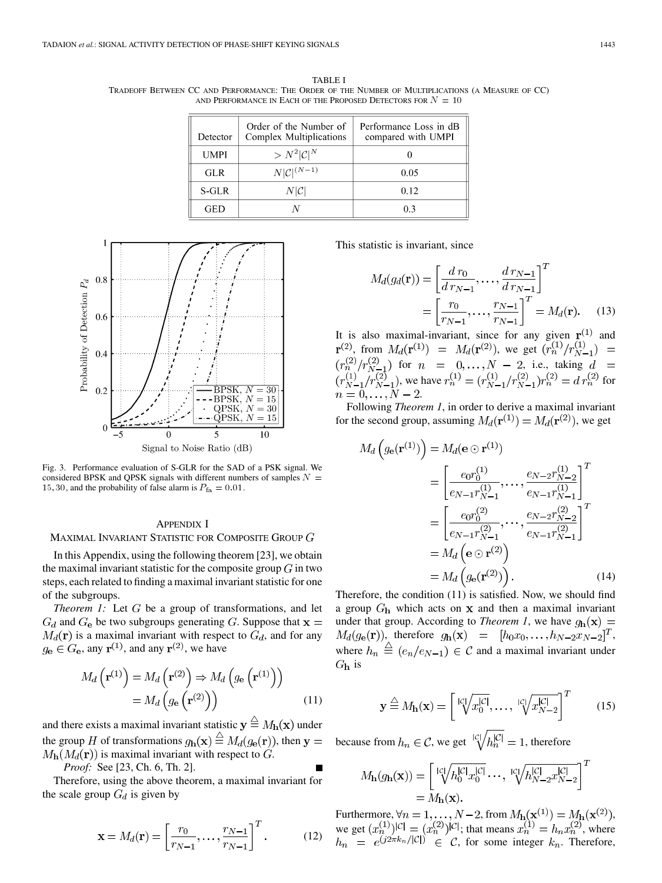<span id="page-4-0"></span>TABLE I TRADEOFF BETWEEN CC AND PERFORMANCE: THE ORDER OF THE NUMBER OF MULTIPLICATIONS (A MEASURE OF CC) AND PERFORMANCE IN EACH OF THE PROPOSED DETECTORS FOR  $N = 10$ 

| Detector    | Order of the Number of<br>Complex Multiplications | Performance Loss in dB<br>compared with UMPI |
|-------------|---------------------------------------------------|----------------------------------------------|
| <b>UMPI</b> | $> N^2  \mathcal{C} ^N$                           |                                              |
| GL R        | $N \mathcal{C} ^{(N-1)}$                          | 0.05                                         |
| S-GLR       | $N \mathcal{C} $                                  | 0.12                                         |
| GED         |                                                   | 03                                           |



Fig. 3. Performance evaluation of S-GLR for the SAD of a PSK signal. We considered BPSK and QPSK signals with different numbers of samples  $N =$ 15, 30, and the probability of false alarm is  $P_{fa} = 0.01$ .

#### APPENDIX I

#### MAXIMAL INVARIANT STATISTIC FOR COMPOSITE GROUP  $G$

In this Appendix, using the following theorem [\[23\],](#page-6-0) we obtain the maximal invariant statistic for the composite group  $G$  in two steps, each related to finding a maximal invariant statistic for one of the subgroups.

*Theorem 1:* Let  $G$  be a group of transformations, and let  $G_d$  and  $G_e$  be two subgroups generating G. Suppose that  ${\bf x} =$  $M_d(\mathbf{r})$  is a maximal invariant with respect to  $G_d$ , and for any  $g_{\rm e} \in G_{\rm e}$ , any  ${\bf r}^{(1)}$ , and any  ${\bf r}^{(2)}$ , we have

$$
M_d\left(\mathbf{r}^{(1)}\right) = M_d\left(\mathbf{r}^{(2)}\right) \Rightarrow M_d\left(g_e\left(\mathbf{r}^{(1)}\right)\right)
$$

$$
= M_d\left(g_e\left(\mathbf{r}^{(2)}\right)\right) \tag{11}
$$

and there exists a maximal invariant statistic  $y \stackrel{\triangle}{=} M_{h}(x)$  under the group H of transformations  $g_{\bf h}({\bf x}) \stackrel{\triangle}{=} M_d(g_{\bf e}({\bf r}))$ , then  ${\bf y} =$  $M_{\mathbf{h}}(M_d(\mathbf{r}))$  is maximal invariant with respect to G.

*Proof:* See [\[23, Ch. 6, Th. 2\]](#page-6-0).

Therefore, using the above theorem, a maximal invariant for the scale group  $G_d$  is given by

$$
\mathbf{x} = M_d(\mathbf{r}) = \left[\frac{r_0}{r_{N-1}}, \dots, \frac{r_{N-1}}{r_{N-1}}\right]^T.
$$
 (12)

This statistic is invariant, since

$$
M_d(g_d(\mathbf{r})) = \left[\frac{d\,r_0}{d\,r_{N-1}}, \dots, \frac{d\,r_{N-1}}{d\,r_{N-1}}\right]^T
$$

$$
= \left[\frac{r_0}{r_{N-1}}, \dots, \frac{r_{N-1}}{r_{N-1}}\right]^T = M_d(\mathbf{r}).\tag{13}
$$

It is also maximal-invariant, since for any given  $r^{(1)}$  and  ${\bf r}^{(2)}$ , from  $M_d({\bf r}^{(1)}) = M_d({\bf r}^{(2)})$ , we get  $(r_n^{(1)}/r_{N-1}^{(1)}) =$ for  $n = 0, \ldots, N - 2$ , i.e., taking , we have  $r_n^{(1)} = (r_{N-1}^{(1)}/r_{N-1}^{(2)})r_n^{(2)} = d r_n^{(2)}$  for  $n = 0, ..., N - 2.$ 

Following *Theorem 1*, in order to derive a maximal invariant for the second group, assuming  $M_d(\mathbf{r}^{(1)}) = M_d(\mathbf{r}^{(2)})$ , we get

$$
M_d\left(g_e(\mathbf{r}^{(1)})\right) = M_d(e \odot \mathbf{r}^{(1)})
$$
  
= 
$$
\left[\frac{e_0 r_0^{(1)}}{e_{N-1} r_{N-1}^{(1)}}, \dots, \frac{e_{N-2} r_{N-2}^{(1)}}{e_{N-1} r_{N-1}^{(1)}}\right]^T
$$
  
= 
$$
\left[\frac{e_0 r_0^{(2)}}{e_{N-1} r_{N-1}^{(2)}}, \dots, \frac{e_{N-2} r_{N-2}^{(2)}}{e_{N-1} r_{N-1}^{(2)}}\right]^T
$$
  
= 
$$
M_d\left(e \odot \mathbf{r}^{(2)}\right)
$$
  
= 
$$
M_d\left(g_e(\mathbf{r}^{(2)})\right).
$$
 (14)

Therefore, the condition (11) is satisfied. Now, we should find a group  $G<sub>h</sub>$  which acts on **x** and then a maximal invariant under that group. According to *Theorem 1*, we have  $g_{\bf h}({\bf x}) =$  $M_d(g_{\mathbf{e}}(\mathbf{r}))$ , therefore  $g_{\mathbf{h}}(\mathbf{x}) = [h_0x_0, \dots, h_{N-2}x_{N-2}]^T$ , where  $h_n \triangleq (e_n/e_{N-1}) \in C$  and a maximal invariant under  $G<sub>h</sub>$  is

$$
\mathbf{y} \stackrel{\triangle}{=} M_{\mathbf{h}}(\mathbf{x}) = \left[ \sqrt{\mathcal{L}_0^{|\mathcal{C}|}}, \dots, \sqrt{\mathcal{L}_{N-2}^{|\mathcal{C}|}} \right]^T \tag{15}
$$

because from  $h_n \in \mathcal{C}$ , we get  $\sqrt{|c|}/h_n^{|C|} = 1$ , therefore

$$
M_{\mathbf{h}}(g_{\mathbf{h}}(\mathbf{x})) = \begin{bmatrix} \frac{|c|}{N} \frac{|c|}{h_0^{|\mathcal{C}|}} \frac{|c|}{x_0^{|\mathcal{C}|}} \dots, \frac{|c|}{N} \frac{|c|}{h_{N-2}^{|\mathcal{C}|}} \frac{|c|}{x_{N-2}^{|\mathcal{C}|}} \end{bmatrix}^T
$$

$$
= M_{\mathbf{h}}(\mathbf{x}).
$$

Furthermore,  $\forall n = 1, \ldots, N-2$ , from  $M_{\bf h}({\bf x}^{(1)}) = M_{\bf h}({\bf x}^{(2)})$ , we get  $(x_n^{(1)})^{|C|} = (x_n^{(2)})^{|C|}$ ; that means  $x_n^{(1)} = h_n x_n^{(2)}$ , where , for some integer  $k_n$ . Therefore,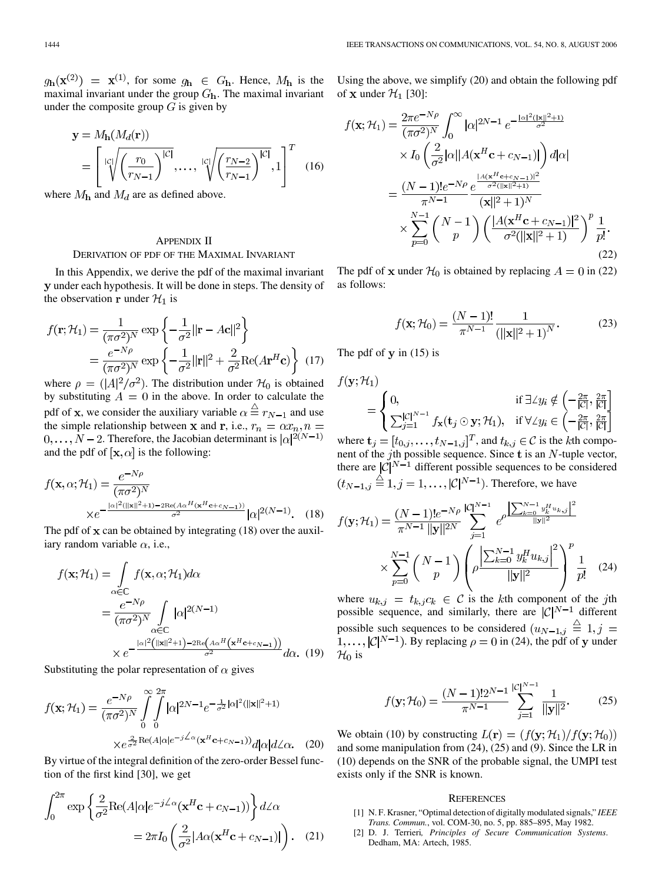<span id="page-5-0"></span> $g_{\mathbf{h}}(\mathbf{x}^{(2)}) = \mathbf{x}^{(1)}$ , for some  $g_{\mathbf{h}} \in G_{\mathbf{h}}$ . Hence,  $M_{\mathbf{h}}$  is the maximal invariant under the group  $G<sub>h</sub>$ . The maximal invariant under the composite group  $G$  is given by

$$
\mathbf{y} = M_{\mathbf{h}}(M_d(\mathbf{r}))
$$
  
= 
$$
\left[ \sqrt{\left(\frac{r_0}{r_{N-1}}\right)^{|\mathcal{C}|}}, \dots, \sqrt{\left(\frac{r_{N-2}}{r_{N-1}}\right)^{|\mathcal{C}|}}, 1 \right]^T
$$
 (16)

where  $M_{\rm h}$  and  $M_d$  are as defined above.

## APPENDIX II DERIVATION OF PDF OF THE MAXIMAL INVARIANT

In this Appendix, we derive the pdf of the maximal invariant

under each hypothesis. It will be done in steps. The density of the observation **r** under  $\mathcal{H}_1$  is

$$
f(\mathbf{r}; \mathcal{H}_1) = \frac{1}{(\pi \sigma^2)^N} \exp\left\{-\frac{1}{\sigma^2} ||\mathbf{r} - A\mathbf{c}||^2\right\}
$$

$$
= \frac{e^{-N\rho}}{(\pi \sigma^2)^N} \exp\left\{-\frac{1}{\sigma^2} ||\mathbf{r}||^2 + \frac{2}{\sigma^2} \text{Re}(A\mathbf{r}^H \mathbf{c})\right\} (17)
$$

where  $\rho = (|A|^2/\sigma^2)$ . The distribution under  $\mathcal{H}_0$  is obtained by substituting  $A = 0$  in the above. In order to calculate the pdf of x, we consider the auxiliary variable  $\alpha \stackrel{\triangle}{=} r_{N-1}$  and use the simple relationship between **x** and **r**, i.e.,  $r_n = \alpha x_n, n =$  $0, \ldots, N-2$ . Therefore, the Jacobian determinant is  $|\alpha|^{2(N-1)}$ and the pdf of  $[x, \alpha]$  is the following:

$$
f(\mathbf{x}, \alpha; \mathcal{H}_1) = \frac{e^{-N\rho}}{(\pi \sigma^2)^N}
$$

$$
\times e^{-\frac{|\alpha|^2(||\mathbf{x}||^2 + 1) - 2\text{Re}(A\alpha^H(\mathbf{x}^H \mathbf{c} + c_N - 1))}{\sigma^2} |\alpha|^{2(N-1)}. (18)
$$

The pdf of  $x$  can be obtained by integrating (18) over the auxiliary random variable  $\alpha$ , i.e.,

$$
f(\mathbf{x}; \mathcal{H}_1) = \int_{\alpha \in \mathbb{C}} f(\mathbf{x}, \alpha; \mathcal{H}_1) d\alpha
$$
  
= 
$$
\frac{e^{-N\rho}}{(\pi \sigma^2)^N} \int_{\alpha \in \mathbb{C}} |\alpha|^{2(N-1)}
$$
  

$$
\times e^{-\frac{|\alpha|^2 (||\mathbf{x}||^2 + 1) - 2\text{Re}\left(A\alpha^H(\mathbf{x}^H \mathbf{c} + c_{N-1})\right)}{\sigma^2} d\alpha. (19)
$$

Substituting the polar representation of  $\alpha$  gives

$$
f(\mathbf{x}; \mathcal{H}_1) = \frac{e^{-N\rho}}{(\pi\sigma^2)^N} \int_0^\infty \int_0^{2\pi} |\alpha|^{2N-1} e^{-\frac{1}{\sigma^2}|\alpha|^2 (||\mathbf{x}||^2 + 1)}
$$

$$
\times e^{\frac{2}{\sigma^2} \text{Re}(A|\alpha|e^{-j\angle\alpha}(\mathbf{x}^H \mathbf{c} + c_{N-1}))} d|\alpha| d\angle\alpha. \quad (20)
$$

By virtue of the integral definition of the zero-order Bessel function of the first kind [\[30\]](#page-6-0), we get

$$
\int_0^{2\pi} \exp\left\{\frac{2}{\sigma^2} \text{Re}(A|\alpha|e^{-j\angle\alpha}(\mathbf{x}^H \mathbf{c} + c_{N-1}))\right\} d\angle\alpha
$$

$$
= 2\pi I_0 \left(\frac{2}{\sigma^2} |A\alpha(\mathbf{x}^H \mathbf{c} + c_{N-1})|\right). \quad (21)
$$

Using the above, we simplify (20) and obtain the following pdf of **x** under  $\mathcal{H}_1$  [\[30\]:](#page-6-0)

$$
f(\mathbf{x}; \mathcal{H}_1) = \frac{2\pi e^{-N\rho}}{(\pi \sigma^2)^N} \int_0^\infty |\alpha|^{2N-1} e^{-\frac{|\alpha|^2 (|\mathbf{x}||^2 + 1)}{\sigma^2}} \times I_0 \left(\frac{2}{\sigma^2} |\alpha| |A(\mathbf{x}^H \mathbf{c} + c_{N-1})|\right) d|\alpha|
$$
  

$$
= \frac{(N-1)! e^{-N\rho}}{\pi^{N-1}} e^{\frac{|A(\mathbf{x}^H \mathbf{c} + c_{N-1})|^2}{(\mathbf{x}||^2 + 1)^N}}
$$
  

$$
\times \sum_{p=0}^{N-1} {N-1 \choose p} \left(\frac{|A(\mathbf{x}^H \mathbf{c} + c_{N-1})|^2}{\sigma^2 (||\mathbf{x}||^2 + 1)}\right)^p \frac{1}{p!}.
$$
  
(22)

The pdf of x under  $\mathcal{H}_0$  is obtained by replacing  $A = 0$  in (22) as follows:

$$
f(\mathbf{x}; \mathcal{H}_0) = \frac{(N-1)!}{\pi^{N-1}} \frac{1}{(||\mathbf{x}||^2 + 1)^N}.
$$
 (23)

The pdf of  $y$  in [\(15\)](#page-4-0) is

$$
f(\mathbf{y}; \mathcal{H}_1)
$$
\n
$$
= \begin{cases}\n0, & \text{if } \exists \angle y_i \notin \left(-\frac{2\pi}{|\mathcal{C}|}, \frac{2\pi}{|\mathcal{C}|}\right) \\
\sum_{j=1}^{|\mathcal{C}|^{N-1}} f_{\mathbf{x}}(\mathbf{t}_j \odot \mathbf{y}; \mathcal{H}_1), & \text{if } \forall \angle y_i \in \left(-\frac{2\pi}{|\mathcal{C}|}, \frac{2\pi}{|\mathcal{C}|}\right)\n\end{cases}
$$

where  $\mathbf{t}_j = [t_{0,j}, \dots, t_{N-1,j}]^T$ , and  $t_{k,j} \in \mathcal{C}$  is the kth component of the jth possible sequence. Since  $t$  is an  $N$ -tuple vector, there are  $|C|^{N-1}$  different possible sequences to be considered  $(t_{N-1,j} \stackrel{\triangle}{=} 1, j = 1, \ldots, |\mathcal{C}|^{N-1})$ . Therefore, we have

$$
f(\mathbf{y}; \mathcal{H}_1) = \frac{(N-1)!e^{-N\rho}}{\pi^{N-1}} \frac{|\mathcal{C}|^{N-1}}{\|\mathbf{y}\|^{2N}} \sum_{j=1}^{|\mathcal{C}|^{N-1}} e^{\rho \frac{\left|\sum_{k=0}^{N-1} y_k^H u_{k,j}\right|^2}{\|\mathbf{y}\|^2}} \times \sum_{p=0}^{N-1} {N-1 \choose p} \left(\rho \frac{\left|\sum_{k=0}^{N-1} y_k^H u_{k,j}\right|^2}{\|\mathbf{y}\|^2}\right)^p \frac{1}{p!}
$$
 (24)

where  $u_{k,j} = t_{k,j}c_k \in \mathcal{C}$  is the kth component of the jth possible sequence, and similarly, there are  $|\mathcal{C}|^{N-1}$  different possible such sequences to be considered  $(u_{N-1,j} \stackrel{\triangle}{=} 1, j =$  $\hat{B}_1, \ldots, |\mathcal{C}|^{N-1}$ ). By replacing  $\rho = 0$  in (24), the pdf of y under  $\mathcal{H}_0$  is

$$
f(\mathbf{y}; \mathcal{H}_0) = \frac{(N-1)!2^{N-1}}{\pi^{N-1}} \sum_{j=1}^{|\mathcal{C}|^{N-1}} \frac{1}{\|\mathbf{y}\|^2}.
$$
 (25)

We obtain [\(10\)](#page-2-0) by constructing  $L(\mathbf{r}) = (f(\mathbf{y}; \mathcal{H}_1) / f(\mathbf{y}; \mathcal{H}_0))$ and some manipulation from (24), (25) and [\(9\)](#page-2-0). Since the LR in [\(10\)](#page-2-0) depends on the SNR of the probable signal, the UMPI test exists only if the SNR is known.

#### **REFERENCES**

- [1] N. F. Krasner, "Optimal detection of digitally modulated signals," *IEEE Trans. Commun.*, vol. COM-30, no. 5, pp. 885–895, May 1982.
- [2] D. J. Terrieri*, Principles of Secure Communication Systems*. Dedham, MA: Artech, 1985.